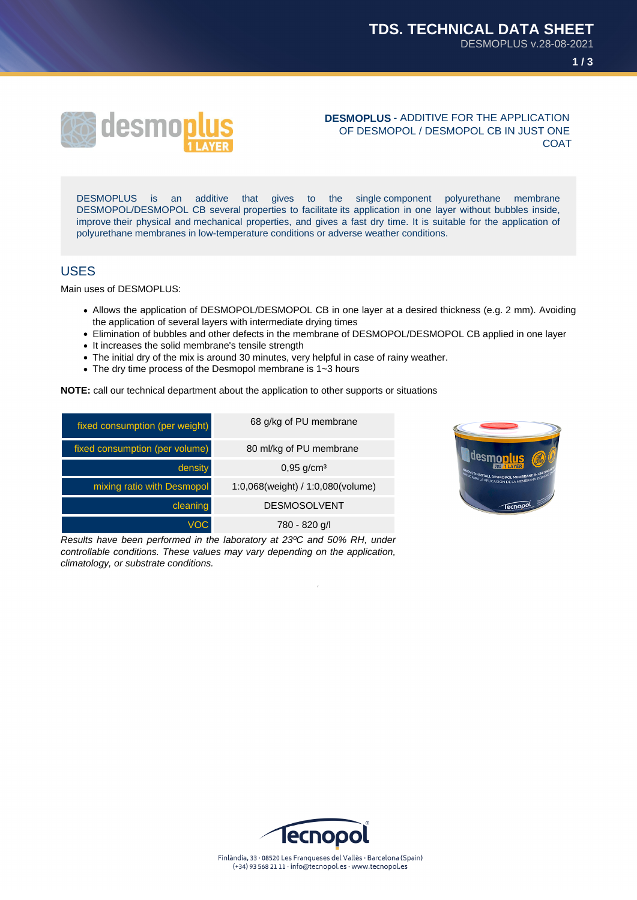



#### **DESMOPLUS** - ADDITIVE FOR THE APPLICATION OF DESMOPOL / DESMOPOL CB IN JUST ONE COAT

DESMOPLUS is an additive that gives to the single component polyurethane membrane DESMOPOL/DESMOPOL CB several properties to facilitate its application in one layer without bubbles inside, improve their physical and mechanical properties, and gives a fast dry time. It is suitable for the application of polyurethane membranes in low-temperature conditions or adverse weather conditions.

#### USES

Main uses of DESMOPLUS:

- Allows the application of DESMOPOL/DESMOPOL CB in one layer at a desired thickness (e.g. 2 mm). Avoiding the application of several layers with intermediate drying times
- Elimination of bubbles and other defects in the membrane of DESMOPOL/DESMOPOL CB applied in one layer
- It increases the solid membrane's tensile strength
- The initial dry of the mix is around 30 minutes, very helpful in case of rainy weather.
- The dry time process of the Desmopol membrane is 1~3 hours

**NOTE:** call our technical department about the application to other supports or situations

| fixed consumption (per weight) | 68 g/kg of PU membrane            |
|--------------------------------|-----------------------------------|
| fixed consumption (per volume) | 80 ml/kg of PU membrane           |
| density                        | $0,95$ g/cm <sup>3</sup>          |
| mixing ratio with Desmopol     | 1:0,068(weight) / 1:0,080(volume) |
| cleaning                       | <b>DESMOSOLVENT</b>               |
| <b>VOC</b>                     | 780 - 820 g/l                     |

Results have been performed in the laboratory at 23ºC and 50% RH, under controllable conditions. These values may vary depending on the application, climatology, or substrate conditions.



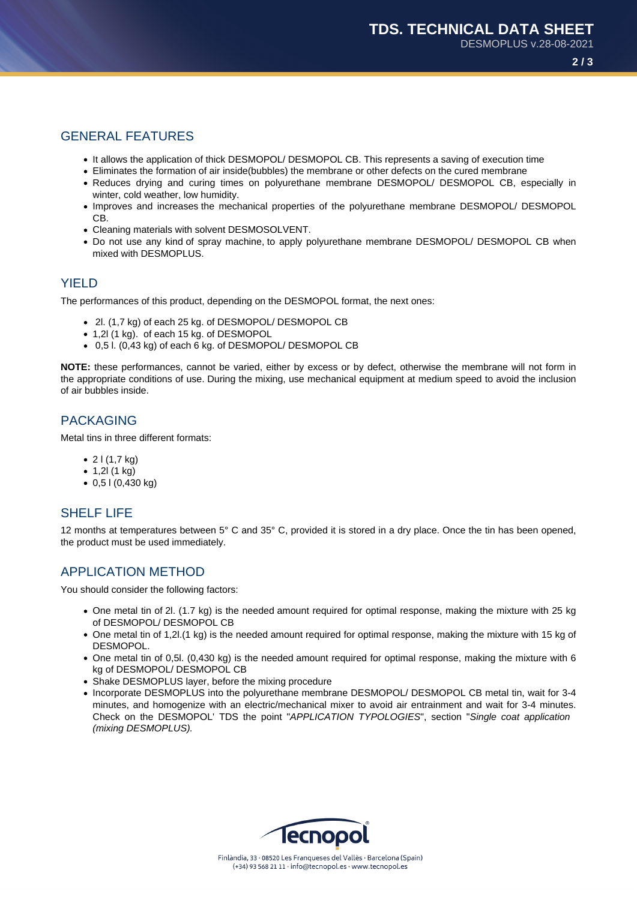# GENERAL FEATURES

- It allows the application of thick DESMOPOL/ DESMOPOL CB. This represents a saving of execution time
- Eliminates the formation of air inside(bubbles) the membrane or other defects on the cured membrane
- Reduces drying and curing times on polyurethane membrane DESMOPOL/ DESMOPOL CB, especially in winter, cold weather, low humidity.
- Improves and increases the mechanical properties of the polyurethane membrane DESMOPOL/ DESMOPOL CB.
- Cleaning materials with solvent DESMOSOLVENT.
- Do not use any kind of spray machine, to apply polyurethane membrane DESMOPOL/ DESMOPOL CB when mixed with DESMOPLUS.

## **YIFLD**

The performances of this product, depending on the DESMOPOL format, the next ones:

- 2l. (1,7 kg) of each 25 kg. of DESMOPOL/ DESMOPOL CB
- 1,2l (1 kg). of each 15 kg. of DESMOPOL
- 0,5 l. (0,43 kg) of each 6 kg. of DESMOPOL/ DESMOPOL CB

**NOTE:** these performances, cannot be varied, either by excess or by defect, otherwise the membrane will not form in the appropriate conditions of use. During the mixing, use mechanical equipment at medium speed to avoid the inclusion of air bubbles inside.

# PACKAGING

Metal tins in three different formats:

- $21(1,7 \text{ kg})$
- $1,2$  $(1 kg)$
- 0,5 l (0,430 kg)

### SHELF LIFE

12 months at temperatures between 5° C and 35° C, provided it is stored in a dry place. Once the tin has been opened, the product must be used immediately.

# APPLICATION METHOD

You should consider the following factors:

- One metal tin of 2l. (1.7 kg) is the needed amount required for optimal response, making the mixture with 25 kg of DESMOPOL/ DESMOPOL CB
- One metal tin of 1,2l.(1 kg) is the needed amount required for optimal response, making the mixture with 15 kg of DESMOPOL.
- One metal tin of 0,5l. (0,430 kg) is the needed amount required for optimal response, making the mixture with 6 kg of DESMOPOL/ DESMOPOL CB
- Shake DESMOPLUS layer, before the mixing procedure
- Incorporate DESMOPLUS into the polyurethane membrane DESMOPOL/ DESMOPOL CB metal tin, wait for 3-4 minutes, and homogenize with an electric/mechanical mixer to avoid air entrainment and wait for 3-4 minutes. Check on the DESMOPOL' TDS the point "APPLICATION TYPOLOGIES", section "Single coat application (mixing DESMOPLUS).